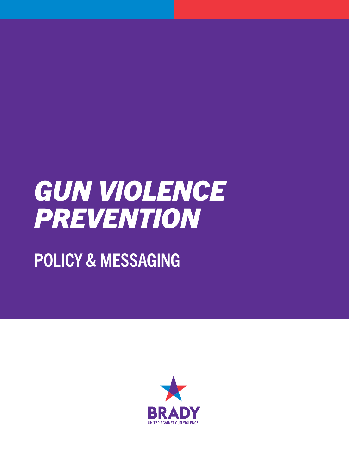# *GUN VIOLENCE PREVENTION*

## POLICY & MESSAGING

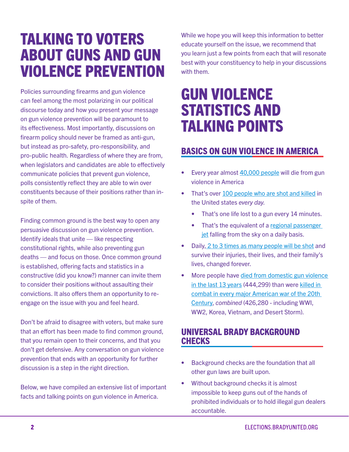## TALKING TO VOTERS ABOUT GUNS AND GUN VIOLENCE PREVENTION

Policies surrounding firearms and gun violence can feel among the most polarizing in our political discourse today and how you present your message on gun violence prevention will be paramount to its effectiveness. Most importantly, discussions on firearm policy should never be framed as anti-gun, but instead as pro-safety, pro-responsibility, and pro-public health. Regardless of where they are from, when legislators and candidates are able to effectively communicate policies that prevent gun violence, polls consistently reflect they are able to win over constituents because of their positions rather than inspite of them.

Finding common ground is the best way to open any persuasive discussion on gun violence prevention. Identify ideals that unite — like respecting constitutional rights, while also preventing gun deaths — and focus on those. Once common ground is established, offering facts and statistics in a constructive (did you know?) manner can invite them to consider their positions without assaulting their convictions. It also offers them an opportunity to reengage on the issue with you and feel heard.

Don't be afraid to disagree with voters, but make sure that an effort has been made to find common ground, that you remain open to their concerns, and that you don't get defensive. Any conversation on gun violence prevention that ends with an opportunity for further discussion is a step in the right direction.

Below, we have compiled an extensive list of important facts and talking points on gun violence in America.

While we hope you will keep this information to better educate yourself on the issue, we recommend that you learn just a few points from each that will resonate best with your constituency to help in your discussions with them.

### GUN VIOLENCE STATISTICS AND TALKING POINTS

#### BASICS ON GUN VIOLENCE IN AMERICA

- Every year almost [40,000 people](https://www.cdc.gov/injury/wisqars/index.html) will die from gun violence in America
- That's over [100 people who are shot and killed](https://www.bradyunited.org/key-statistics#:~:text=Every%20year%2C%20114%2C328%20people%20are%20shot.&text=76%2C725%20people%20survive%20gunshot%20injuries,survive%20an%20attempted%20gun%20suicide) in the United states *every day*.
	- That's one life lost to a gun every 14 minutes.
	- That's the equivalent of a regional passenger [jet](https://en.wikipedia.org/wiki/List_of_regional_airliners) falling from the sky on a daily basis.
- Daily, [2 to 3 times as many people will be shot](https://www.cdc.gov/injury/wisqars/nonfatal.html) and survive their injuries, their lives, and their family's lives, changed forever.
- More people have [died from domestic gun violence](https://www.cdc.gov/injury/wisqars/fatal.html)  [in the last 13 years](https://www.cdc.gov/injury/wisqars/fatal.html) (444,299) than were [killed in](https://www.va.gov/opa/publications/factsheets/fs_americas_wars.pdf)  [combat in every major American war of the 20th](https://www.va.gov/opa/publications/factsheets/fs_americas_wars.pdf)  [Century,](https://www.va.gov/opa/publications/factsheets/fs_americas_wars.pdf) *combined* (426,280 - including WWI, WW2, Korea, Vietnam, and Desert Storm).

#### UNIVERSAL BRADY BACKGROUND CHECKS

- Background checks are the foundation that all other gun laws are built upon.
- Without background checks it is almost impossible to keep guns out of the hands of prohibited individuals or to hold illegal gun dealers accountable.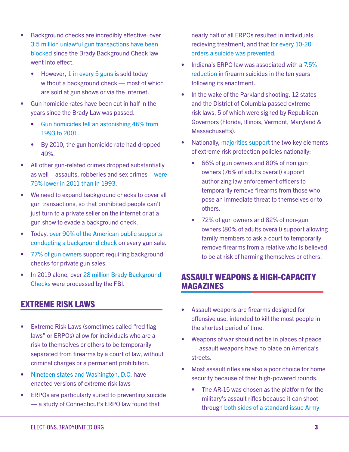- Background checks are incredibly effective: over [3.5 million unlawful gun transactions have been](https://www.bjs.gov/content/pub/pdf/bcft15st.pdf)  [blocked](https://www.bjs.gov/content/pub/pdf/bcft15st.pdf) since the Brady Background Check law went into effect.
	- However, [1 in every 5 guns](https://www.acpjournals.org/doi/10.7326/M16-1590) is sold today without a background check — most of which are sold at gun shows or via the internet.
- Gun homicide rates have been cut in half in the years since the Brady Law was passed.
	- [Gun homicides fell an astonishing 46% from](https://www.pewsocialtrends.org/2013/05/07/gun-homicide-rate-down-49-since-1993-peak-public-unaware/)  [1993 to 2001.](https://www.pewsocialtrends.org/2013/05/07/gun-homicide-rate-down-49-since-1993-peak-public-unaware/)
	- By 2010, the gun homicide rate had dropped 49%.
- All other gun-related crimes dropped substantially as well—assaults, robberies and sex crimes—[were](https://www.pewsocialtrends.org/2013/05/07/gun-homicide-rate-down-49-since-1993-peak-public-unaware/)  [75% lower in 2011 than in 1993.](https://www.pewsocialtrends.org/2013/05/07/gun-homicide-rate-down-49-since-1993-peak-public-unaware/)
- We need to expand background checks to cover all gun transactions, so that prohibited people can't just turn to a private seller on the internet or at a gun show to evade a background check.
- Today, [over 90% of the American public supports](http://maristpoll.marist.edu/wp-content/uploads/2019/07/NPR_PBS-NewsHour_Marist-Poll_USA-NOS-and-Tables_1907190926.pdf#page=3?campaign_id=39&instance_id=11361&segment_id=15808&user_id=5a33e92e8470f397afd80c81663d317d®i_id=78772156&nl=david-leonhardt&emc=edit_ty_20190802)  [conducting a background check](http://maristpoll.marist.edu/wp-content/uploads/2019/07/NPR_PBS-NewsHour_Marist-Poll_USA-NOS-and-Tables_1907190926.pdf#page=3?campaign_id=39&instance_id=11361&segment_id=15808&user_id=5a33e92e8470f397afd80c81663d317d®i_id=78772156&nl=david-leonhardt&emc=edit_ty_20190802) on every gun sale.
- [77% of gun owners](https://www.pewsocialtrends.org/2017/06/22/americas-complex-relationship-with-guns/) support requiring background checks for private gun sales.
- In 2019 alone, over 28 million Brady Background [Checks](https://www.fbi.gov/file-repository/2019-nics-operations-report.pdf/view) were processed by the FBI.

#### EXTREME RISK LAWS

- Extreme Risk Laws (sometimes called "red flag laws" or ERPOs) allow for individuals who are a risk to themselves or others to be temporarily separated from firearms by a court of law, without criminal charges or a permanent prohibition.
- [Nineteen states and Washington, D.C.](https://www.bradyunited.org/fact-sheets/what-are-extreme-risk-laws) have enacted versions of extreme risk laws
- ERPOs are particularly suited to preventing suicide — a study of Connecticut's ERPO law found that

nearly half of all ERPOs resulted in individuals recieving treatment, and that [for every 10-20](https://scholarship.law.duke.edu/lcp/vol80/iss2/8/)  [orders a suicide was prevented](https://scholarship.law.duke.edu/lcp/vol80/iss2/8/).

- Indiana's ERPO law was associated with a 7.5% [reduction](https://ps.psychiatryonline.org/doi/10.1176/appi.ps.201700250) in firearm suicides in the ten years following its enactment.
- In the wake of the Parkland shooting, 12 states and the District of Columbia passed extreme risk laws, 5 of which were signed by Republican Governors (Florida, Illinois, Vermont, Maryland & Massachusetts).
- Nationally, [majorities support](https://www.healthaffairs.org/doi/abs/10.1377/hlthaff.2019.00576) the two key elements of extreme risk protection policies nationally:
	- 66% of gun owners and 80% of non gun owners (76% of adults overall) support authorizing law enforcement officers to temporarily remove firearms from those who pose an immediate threat to themselves or to others.
	- 72% of gun owners and 82% of non-gun owners (80% of adults overall) support allowing family members to ask a court to temporarily remove firearms from a relative who is believed to be at risk of harming themselves or others.

#### ASSAULT WEAPONS & HIGH-CAPACITY MAGAZINES

- Assault weapons are firearms designed for offensive use, intended to kill the most people in the shortest period of time.
- Weapons of war should not be in places of peace — assault weapons have no place on America's streets.
- Most assault rifles are also a poor choice for home security because of their high-powered rounds.
	- The AR-15 was chosen as the platform for the military's assault rifles because it can shoot through [both sides of a standard issue Army](https://apps.dtic.mil/dtic/tr/fulltext/u2/a953009.pdf)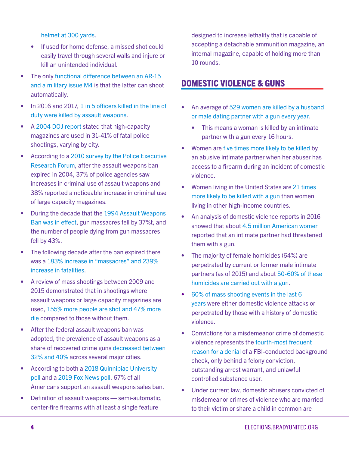[helmet at 300 yards](https://apps.dtic.mil/dtic/tr/fulltext/u2/a953009.pdf).

- If used for home defense, a missed shot could easily travel through several walls and injure or kill an unintended individual.
- The only functional difference between an AR-15 [and a military issue M4](https://www.pewpewtactical.com/ar15-vs-m4-difference/) is that the latter can shoot automatically.
- In 2016 and 2017, [1 in 5 officers killed in the line of](https://vpc.org/press/new-data-shows-one-in-five-law-enforcement-officers-slain-in-the-line-of-duty-in-2016-and-2017-were-felled-by-an-assault-weapon/)  [duty were killed by assault weapons](https://vpc.org/press/new-data-shows-one-in-five-law-enforcement-officers-slain-in-the-line-of-duty-in-2016-and-2017-were-felled-by-an-assault-weapon/).
- A [2004 DOJ report](https://www.ncjrs.gov/pdffiles1/nij/grants/204431.pdf) stated that high-capacity magazines are used in 31-41% of fatal police shootings, varying by city.
- According to a [2010 survey by the Police Executive](https://www.policeforum.org/assets/docs/Critical_Issues_Series/guns%20and%20crime%20-%20breaking%20new%20ground%20by%20focusing%20on%20the%20local%20impact%202010.pdf)  [Research Forum](https://www.policeforum.org/assets/docs/Critical_Issues_Series/guns%20and%20crime%20-%20breaking%20new%20ground%20by%20focusing%20on%20the%20local%20impact%202010.pdf), after the assault weapons ban expired in 2004, 37% of police agencies saw increases in criminal use of assault weapons and 38% reported a noticeable increase in criminal use of large capacity magazines.
- During the decade that the [1994 Assault Weapons](https://www.washingtonpost.com/news/wonk/wp/2018/02/15/its-time-to-bring-back-the-assault-weapons-ban-gun-violence-experts-say/)  [Ban was in effect](https://www.washingtonpost.com/news/wonk/wp/2018/02/15/its-time-to-bring-back-the-assault-weapons-ban-gun-violence-experts-say/), gun massacres fell by 37%t, and the number of people dying from gun massacres fell by 43%.
- The following decade after the ban expired there was a [183% increase in "massacres" and 239%](https://www.washingtonpost.com/news/wonk/wp/2018/02/15/its-time-to-bring-back-the-assault-weapons-ban-gun-violence-experts-say/)  [increase in fatalities.](https://www.washingtonpost.com/news/wonk/wp/2018/02/15/its-time-to-bring-back-the-assault-weapons-ban-gun-violence-experts-say/)
- A review of mass shootings between 2009 and 2015 demonstrated that in shootings where assault weapons or large capacity magazines are used, [155% more people are shot and 47% more](https://www.americanprogress.org/issues/guns-crime/reports/2019/08/12/473528/assault-weapons-high-capacity-magazines-must-banned/)  [die](https://www.americanprogress.org/issues/guns-crime/reports/2019/08/12/473528/assault-weapons-high-capacity-magazines-must-banned/) compared to those without them.
- After the federal assault weapons ban was adopted, the prevalence of assault weapons as a share of recovered crime guns [decreased between](https://www.ncjrs.gov/pdffiles1/nij/grants/204431.pdf)  [32% and 40%](https://www.ncjrs.gov/pdffiles1/nij/grants/204431.pdf) across several major cities.
- According to both a [2018 Quinnipiac University](https://poll.qu.edu/images/polling/us/us02202018_ugbw51.pdf)  [poll a](https://poll.qu.edu/images/polling/us/us02202018_ugbw51.pdf)nd a [2019 Fox News poll,](https://www.foxnews.com/politics/fox-news-poll-most-back-gun-restrictions-after-shootings-trump-ratings-down) 67% of all Americans support an assault weapons sales ban.
- Definition of assault weapons semi-automatic, center-fire firearms with at least a single feature

designed to increase lethality that is capable of accepting a detachable ammunition magazine, an internal magazine, capable of holding more than 10 rounds.

#### DOMESTIC VIOLENCE & GUNS

- An average of [529 women are killed by a husband](https://vpc.org/revealing-the-impacts-of-gun-violence/female-homicide-victimization-by-males/)  [or male dating partner with a gun every year](https://vpc.org/revealing-the-impacts-of-gun-violence/female-homicide-victimization-by-males/).
	- This means a woman is killed by an intimate partner with a gun every 16 hours.
- Women are [five times more likely to be killed](https://www.ncbi.nlm.nih.gov/pmc/articles/PMC1447915/) by an abusive intimate partner when her abuser has access to a firearm during an incident of domestic violence.
- Women living in the United States are 21 times [more likely to be killed with a gun](https://everytownresearch.org/stat/women-in-the-u-s-are-25-times-more-likely-to-be-killed-by-guns-than-women-in-other-high-income-countries/) than women living in other high-income countries.
- An analysis of domestic violence reports in 2016 showed that about [4.5 million American women](https://pubmed.ncbi.nlm.nih.gov/27630138/) reported that an intimate partner had threatened them with a gun.
- The majority of female homicides (64%) are perpetrated by current or former male intimate partners (as of 2015) and about [50-60% of these](https://injepijournal.biomedcentral.com/articles/10.1186/s40621-019-0182-2)  [homicides are carried out with a gun.](https://injepijournal.biomedcentral.com/articles/10.1186/s40621-019-0182-2)
- [60% of mass shooting events in the last 6](https://www.bloomberg.com/graphics/2020-mass-shootings-domestic-violence-connection/)  [years](https://www.bloomberg.com/graphics/2020-mass-shootings-domestic-violence-connection/) were either domestic violence attacks or perpetrated by those with a history of domestic violence.
- Convictions for a misdemeanor crime of domestic violence represents the [fourth-most frequent](https://www.fbi.gov/file-repository/2019-nics-operations-report.pdf/view)  [reason for a denial](https://www.fbi.gov/file-repository/2019-nics-operations-report.pdf/view) of a FBI-conducted background check, only behind a felony conviction, outstanding arrest warrant, and unlawful controlled substance user.
- Under current law, domestic abusers convicted of misdemeanor crimes of violence who are married to their victim or share a child in common are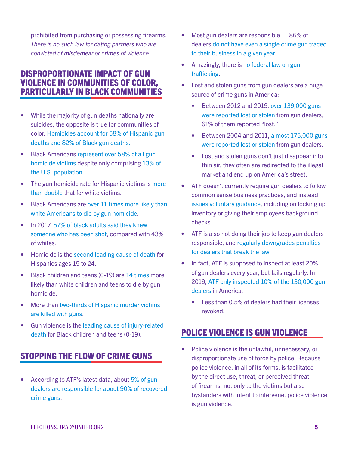prohibited from purchasing or possessing firearms. *There is no such law for dating partners who are convicted of misdemeanor crimes of violence.* 

#### DISPROPORTIONATE IMPACT OF GUN VIOLENCE IN COMMUNITIES OF COLOR, PARTICULARLY IN BLACK COMMUNITIES

- While the majority of gun deaths nationally are suicides, the opposite is true for communities of color. [Homicides account for 58% of Hispanic gun](https://webappa.cdc.gov/sasweb/ncipc/mortrate.html)  [deaths and 82% of Black gun deaths.](https://webappa.cdc.gov/sasweb/ncipc/mortrate.html)
- Black Americans [represent over 58% of all gun](https://webappa.cdc.gov/sasweb/ncipc/mortrate.html)  [homicide victims](https://webappa.cdc.gov/sasweb/ncipc/mortrate.html) despite only comprising [13% of](https://www.census.gov/quickfacts/fact/table/US/PST045219)  [the U.S. population](https://www.census.gov/quickfacts/fact/table/US/PST045219).
- The gun homicide rate for Hispanic victims is [more](https://webappa.cdc.gov/sasweb/ncipc/mortrate.html)  [than double](https://webappa.cdc.gov/sasweb/ncipc/mortrate.html) that for white victims.
- Black Americans are [over 11 times more likely than](https://webappa.cdc.gov/sasweb/ncipc/mortrate.html)  [white Americans to die by gun homicide.](https://webappa.cdc.gov/sasweb/ncipc/mortrate.html)
- In 2017, 57% of black adults said they knew [someone who has been shot](https://www.pewsocialtrends.org/2017/06/22/americas-complex-relationship-with-guns/), compared with 43% of whites.
- Homicide is the [second leading cause of death](https://vpc.org/studies/hispanic18.pdf) for Hispanics ages 15 to 24.
- Black children and teens (0-19) are [14 times](https://webappa.cdc.gov/sasweb/ncipc/mortrate.html) more likely than white children and teens to die by gun homicide.
- More than [two-thirds of Hispanic murder victims](https://vpc.org/studies/hispanic18.pdf)  [are killed with guns](https://vpc.org/studies/hispanic18.pdf).
- Gun violence is the [leading cause of injury-related](https://www.childrensdefense.org/wp-content/uploads/2018/06/Gun_Violence.pdf)  [death](https://www.childrensdefense.org/wp-content/uploads/2018/06/Gun_Violence.pdf) for Black children and teens (0-19).

#### STOPPING THE FLOW OF CRIME GUNS

• According to ATF's latest data, about [5% of gun](http://www.joebrower.com/RKBA/RKBA_FILES/GOV_DOCS/BATF_report_020400.pdf)  [dealers are responsible for about 90% of recovered](http://www.joebrower.com/RKBA/RKBA_FILES/GOV_DOCS/BATF_report_020400.pdf)  [crime guns.](http://www.joebrower.com/RKBA/RKBA_FILES/GOV_DOCS/BATF_report_020400.pdf)

- Most gun dealers are responsible 86% of dealers [do not have even a single crime gun traced](http://www.joebrower.com/RKBA/RKBA_FILES/GOV_DOCS/BATF_report_020400.pdf)  [to their business in a given year](http://www.joebrower.com/RKBA/RKBA_FILES/GOV_DOCS/BATF_report_020400.pdf).
- Amazingly, there is [no federal law on gun](https://www.motherjones.com/politics/2016/10/gun-trafficking-law-maloney-kenneth-thompson/)  [trafficking.](https://www.motherjones.com/politics/2016/10/gun-trafficking-law-maloney-kenneth-thompson/)
- Lost and stolen guns from gun dealers are a huge source of crime guns in America:
	- Between 2012 and 2019, [over 139,000 guns](https://www.atf.gov/resource-center/data-statistics)  [were reported lost or stolen](https://www.atf.gov/resource-center/data-statistics) from gun dealers, 61% of them reported "lost."
	- Between 2004 and 2011, [almost 175,000 guns](https://oig.justice.gov/reports/2013/e1305.pdf)  [were reported lost or stolen](https://oig.justice.gov/reports/2013/e1305.pdf) from gun dealers.
	- Lost and stolen guns don't just disappear into thin air, they often are redirected to the illegal market and end up on America's street.
- ATF doesn't currently require gun dealers to follow common sense business practices, and instead [issues voluntary guidance](https://www.atf.gov/firearms/docs/guide/safety-and-security-information-federal-firearms-licensees-atf-p-33172/download), including on locking up inventory or giving their employees background checks.
- ATF is also not doing their job to keep gun dealers responsible, and [regularly downgrades penalties](https://www.nytimes.com/2018/06/03/us/atf-gun-store-violations.html)  [for dealers that break the law](https://www.nytimes.com/2018/06/03/us/atf-gun-store-violations.html).
- In fact, ATF is supposed to inspect at least 20% of gun dealers every year, but fails regularly. In 2019, [ATF only inspected 10% of the 130,000 gun](https://www.atf.gov/resource-center/fact-sheet/fact-sheet-facts-and-figures-fiscal-year-2019)  [dealers](https://www.atf.gov/resource-center/fact-sheet/fact-sheet-facts-and-figures-fiscal-year-2019) in America.
	- Less than 0.5% of dealers had their licenses revoked.

#### POLICE VIOLENCE IS GUN VIOLENCE

• Police violence is the unlawful, unnecessary, or disproportionate use of force by police. Because police violence, in all of its forms, is facilitated by the direct use, threat, or perceived threat of firearms, not only to the victims but also bystanders with intent to intervene, police violence is gun violence.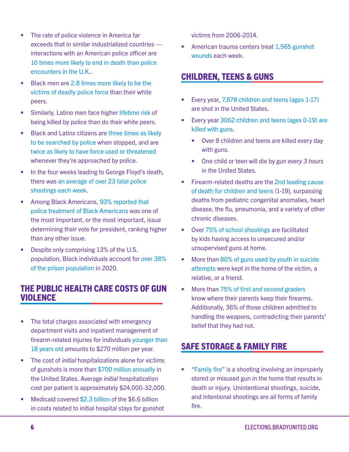- The rate of police violence in America far exceeds that in similar industrialized countries interactions with an American police officer are [10 times more likely to end in death than police](https://www.cnn.com/2020/06/08/us/us-police-floyd-protests-country-comparisons-intl/index.html)  [encounters in the U.K.](https://www.cnn.com/2020/06/08/us/us-police-floyd-protests-country-comparisons-intl/index.html).
- Black men are [2.8 times more likely to be the](https://ajph.aphapublications.org/doi/10.2105/AJPH.2016.303575)  [victims of deadly police force](https://ajph.aphapublications.org/doi/10.2105/AJPH.2016.303575) than their white peers.
- Similarly, Latino men face higher [lifetime risk](https://www.pnas.org/content/116/34/16793) of being killed by police than do their white peers.
- Black and Latinx citizens are [three times as likely](https://www.aclu.org/sites/default/files/assets/141027_iachr_racial_disparities_aclu_submission_0.pdf)  [to be searched by police](https://www.aclu.org/sites/default/files/assets/141027_iachr_racial_disparities_aclu_submission_0.pdf) when stopped, and are [twice as likely to have force used or threatened](https://www.bjs.gov/content/pub/pdf/cpp15.pdf) whenever they're approached by police.
- In the four weeks leading to George Floyd's death, there was [an average of over 23 fatal police](https://www.aclu.org/sites/default/files/field_document/aclu_the_other_epidemic_fatal_police_shootings_2020.pdf)  [shootings each week.](https://www.aclu.org/sites/default/files/field_document/aclu_the_other_epidemic_fatal_police_shootings_2020.pdf)
- Among Black Americans, [93% reported that](https://www.washingtonpost.com/context/june-9-14-2020-washington-post-ipsos-poll/9da7d577-8bba-4319-97bb-2cea5aebca7e/?itid=lk_inline_manual_2&utm_source=The+Trace+mailing+list&utm_campaign=fbda61c396-EMAIL_CAMPAIGN_2019_09_24_04_06_COPY_01&utm_medium=email&utm_term=0_f76c3ff31c-fbda61c396-112474937)  [police treatment of Black Americans](https://www.washingtonpost.com/context/june-9-14-2020-washington-post-ipsos-poll/9da7d577-8bba-4319-97bb-2cea5aebca7e/?itid=lk_inline_manual_2&utm_source=The+Trace+mailing+list&utm_campaign=fbda61c396-EMAIL_CAMPAIGN_2019_09_24_04_06_COPY_01&utm_medium=email&utm_term=0_f76c3ff31c-fbda61c396-112474937) was one of the most important, or the most important, issue determining their vote for president, ranking higher than any other issue.
- Despite only comprising 13% of the U.S. population, Black individuals account for [over 38%](https://www.bop.gov/about/statistics/statistics_inmate_race.jsp)  [of the prison population](https://www.bop.gov/about/statistics/statistics_inmate_race.jsp) in 2020.

#### THE PUBLIC HEALTH CARE COSTS OF GUN VIOLENCE

- The total charges associated with emergency department visits and inpatient management of firearm-related injuries for individuals [younger than](https://jamanetwork.com/journals/jamapediatrics/fullarticle/2707902)  [18 years old](https://jamanetwork.com/journals/jamapediatrics/fullarticle/2707902) amounts to \$270 million per year.
- The cost of *initial* hospitalizations alone for victims of gunshots is more than [\\$700 million annually](https://ajph.aphapublications.org/doi/10.2105/AJPH.2017.303684) in the United States. Average *initial* hospitalization cost per patient is approximately \$24,000-32,000.
- Medicaid covered [\\$2.3 billion](https://ajph.aphapublications.org/doi/10.2105/AJPH.2017.303684) of the \$6.6 billion in costs related to initial hospital stays for gunshot

victims from 2006-2014.

• American trauma centers treat 1,565 gunshot [wounds](https://www.ncbi.nlm.nih.gov/pmc/articles/PMC4700838/) each week.

#### CHILDREN, TEENS & GUNS

- Every year, [7,878 children and teens \(ages 1-17\)](https://www.bradyunited.org/key-statistics#:~:text=Every%20year%2C%20114%2C328%20people%20are%20shot.&text=76%2C725%20people%20survive%20gunshot%20injuries,survive%20an%20attempted%20gun%20suicide) are shot in the United States.
- Every year [3062 children and teens \(ages 0-19\) are](https://webappa.cdc.gov/sasweb/ncipc/mortrate.html)  [killed with guns.](https://webappa.cdc.gov/sasweb/ncipc/mortrate.html)
	- Over 8 children and teens are killed every day with guns.
	- One child or teen will die by gun *every 3 hours*  in the United States.
- Firearm-related deaths are the [2nd leading cause](https://www.reuters.com/article/us-health-funding-children-firearms/second-leading-cause-of-death-in-children-firearms-attract-few-u-s-research-dollars-idUSKBN1WO2MJ)  [of death for children and teens](https://www.reuters.com/article/us-health-funding-children-firearms/second-leading-cause-of-death-in-children-firearms-attract-few-u-s-research-dollars-idUSKBN1WO2MJ) (1-19), surpassing deaths from pediatric congenital anomalies, heart disease, the flu, pneumonia, and a variety of other chronic diseases.
- Over [75% of school shootings](https://www.wsj.com/articles/in-school-shootings-most-guns-come-from-home-1522920600) are facilitated by kids having access to unsecured and/or unsupervised guns at home.
- More than [80% of guns used by youth in suicide](https://injury.research.chop.edu/violence-prevention-initiative/types-violence-involving-youth/gun-violence/gun-violence-facts-and#.XOf61qQpBEZ)  [attempts](https://injury.research.chop.edu/violence-prevention-initiative/types-violence-involving-youth/gun-violence/gun-violence-facts-and#.XOf61qQpBEZ) were kept in the home of the victim, a relative, or a friend.
- More than [75% of first and second graders](https://injury.research.chop.edu/violence-prevention-initiative/types-violence-involving-youth/gun-violence/gun-violence-facts-and#.X1upSIt7lPZ) know where their parents keep their firearms. Additionally, 36% of those children admitted to handling the weapons, contradicting their parents' belief that they had not.

#### SAFE STORAGE & FAMILY FIRE

• ["Family fire](https://www.endfamilyfire.org/)" is a shooting involving an improperly stored or misused gun in the home that results in death or injury. Unintentional shootings, suicide, and intentional shootings are all forms of family fire.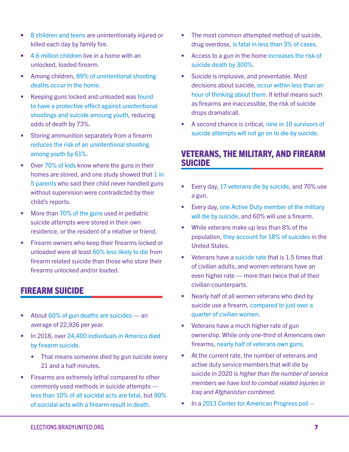- [8 children and teens](https://www.bradyunited.org/key-statistics) are unintentionally injured or killed each day by family fire.
- [4.6 million children](https://www.ncbi.nlm.nih.gov/pmc/articles/PMC5993703/) live in a home with an unlocked, loaded firearm.
- Among children, [89% of unintentional shooting](https://pubmed.ncbi.nlm.nih.gov/8904856/)  [deaths occur in the home](https://pubmed.ncbi.nlm.nih.gov/8904856/).
- Keeping guns locked and unloaded was [found](https://jamanetwork.com/journals/jama/fullarticle/200330)  [to have a protective effect against unintentional](https://jamanetwork.com/journals/jama/fullarticle/200330)  [shootings and suicide amoung youth](https://jamanetwork.com/journals/jama/fullarticle/200330), reducing odds of death by 73%.
- Storing ammunition separately from a firearm [reduces the risk of an unintentional shooting](https://jamanetwork.com/journals/jama/fullarticle/200330)  [among youth by 61%.](https://jamanetwork.com/journals/jama/fullarticle/200330)
- Over [70% of kids](https://pubmed.ncbi.nlm.nih.gov/16651499/) know where the guns in their homes are stored, and one study showed that [1 in](https://pubmed.ncbi.nlm.nih.gov/16651499/)  [5 parents](https://pubmed.ncbi.nlm.nih.gov/16651499/) who said their child never handled guns without supervision were contradicted by their child's reports.
- More than [70% of the guns](https://www.ncbi.nlm.nih.gov/pubmed/10437764) used in pediatric suicide attempts were stored in their own residence, or the resident of a relative or friend.
- Firearm owners who keep their firearms locked or unloaded were at least [60% less likely to die](https://jech.bmj.com/content/58/10/841) from firearm related suicide than those who store their firearms unlocked and/or loaded.

#### FIREARM SUICIDE

- About [60% of gun deaths are suicides —](https://www.bradyunited.org/key-statistics#:~:text=Every%20year%2C%20114%2C328%20people%20are%20shot.&text=76%2C725%20people%20survive%20gunshot%20injuries,survive%20an%20attempted%20gun%20suicide) an average of 22,926 per year.
- In 2018, over 24,400 individuals in America died [by firearm suicide.](https://webappa.cdc.gov/sasweb/ncipc/mortrate.html)
	- That means someone died by gun suicide every 21 and a half minutes.
- Firearms are extremely lethal compared to other commonly used methods in suicide attempts [less than 10% of all suicidal acts are fatal](https://www.acpjournals.org/doi/10.7326/M19-1324), but [90%](https://www.ncbi.nlm.nih.gov/pmc/articles/PMC1446422/)  [of suicidal acts with a firearm result in death.](https://www.ncbi.nlm.nih.gov/pmc/articles/PMC1446422/)
- The most common attempted method of suicide, drug overdose, [is fatal in less than 3% of cases](https://www.hsph.harvard.edu/magazine/magazine_article/guns-suicide/).
- Access to a gun in the home [increases the risk of](https://www.acpjournals.org/doi/10.7326/M13-1301)  [suicide death by 300%](https://www.acpjournals.org/doi/10.7326/M13-1301).
- Suicide is implusive, and preventable. Most decisions about suicide, [occur within less than an](https://pubmed.ncbi.nlm.nih.gov/19026258/)  [hour of thinking about them](https://pubmed.ncbi.nlm.nih.gov/19026258/). If lethal means such as firearms are inaccessible, the risk of suicide drops dramaticall.
- A second chance is critical, [nine in 10 survivors of](https://pubmed.ncbi.nlm.nih.gov/12204922/)  [suicide attempts will not go on to die by suicide](https://pubmed.ncbi.nlm.nih.gov/12204922/).

#### VETERANS, THE MILITARY, AND FIREARM SUICIDE

- Every day, [17 veterans die by suicide](https://www.mentalhealth.va.gov/docs/data-sheets/2019/2019_National_Veteran_Suicide_Prevention_Annual_Report_508.pdf), and 70% use a gun.
- Every day, [one Active Duty member of the military](https://www.dspo.mil/Portals/113/2018%20DoD%20Annual%20Suicide%20Report_FINAL_25%20SEP%2019_508c.pdf)  [will die by suicide,](https://www.dspo.mil/Portals/113/2018%20DoD%20Annual%20Suicide%20Report_FINAL_25%20SEP%2019_508c.pdf) and 60% will use a firearm.
- While veterans make up less than 8% of the population, [they account for 18% of suicides](https://www.ncsl.org/blog/2017/11/10/veterans-by-the-numbers.aspx) in the United States.
- Veterans have a [suicide rate](https://www.mentalhealth.va.gov/docs/data-sheets/2019/2019_National_Veteran_Suicide_Prevention_Annual_Report_508.pdf) that is 1.5 times that of civilian adults, and women veterans have an even higher rate — more than twice that of their civilian counterparts.
- Nearly half of all women veterans who died by suicide use a firearm, [compared to just over a](https://www.mentalhealth.va.gov/suicide_prevention/docs/Women_Veterans_Fact_Sheet_508.pdf)  [quarter of civilian women.](https://www.mentalhealth.va.gov/suicide_prevention/docs/Women_Veterans_Fact_Sheet_508.pdf)
- Veterans have a much higher rate of gun ownership. While only one-third of Americans own firearms, [nearly half of veterans own guns.](https://injepijournal.biomedcentral.com/articles/10.1186/s40621-017-0130-y)
- At the current rate, the number of veterans and active duty service members that will die by suicide in 2020 is *higher than the number of service members we have lost to combat related injuries in Iraq and Afghanistan combined*.
- In a [2013 Center for American Progress poll](https://cdn.americanprogressaction.org/wp-content/uploads/2013/04/CAP-Veterans-Survey-on-Guns-Press-Memo-V2.pdf) –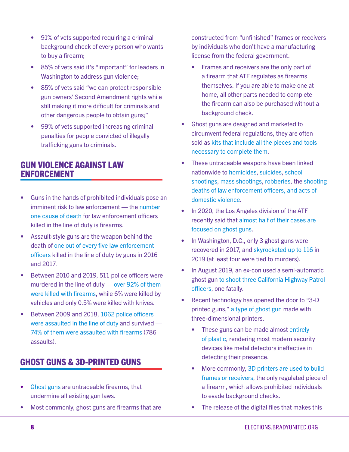- 91% of vets supported requiring a criminal background check of every person who wants to buy a firearm;
- 85% of vets said it's "important" for leaders in Washington to address gun violence;
- 85% of vets said "we can protect responsible gun owners' Second Amendment rights while still making it more difficult for criminals and other dangerous people to obtain guns;"
- 99% of vets supported increasing criminal penalties for people convicted of illegally trafficking guns to criminals.

#### GUN VIOLENCE AGAINST LAW ENFORCEMENT

- Guns in the hands of prohibited individuals pose an imminent risk to law enforcement — the [number](https://ucr.fbi.gov/leoka/2019/tables/table-28.xls)  [one cause of death](https://ucr.fbi.gov/leoka/2019/tables/table-28.xls) for law enforcement officers killed in the line of duty is firearms.
- Assault-style guns are the weapon behind the death of [one out of every five law enforcement](https://vpc.org/press/new-data-shows-one-in-five-law-enforcement-officers-slain-in-the-line-of-duty-in-2016-and-2017-were-felled-by-an-assault-weapon/)  [officers](https://vpc.org/press/new-data-shows-one-in-five-law-enforcement-officers-slain-in-the-line-of-duty-in-2016-and-2017-were-felled-by-an-assault-weapon/) killed in the line of duty by guns in 2016 and 2017.
- Between 2010 and 2019, 511 police officers were murdered in the line of duty — [over 92% of them](https://ucr.fbi.gov/leoka/2019/tables/table-28.xls)  [were killed with firearms](https://ucr.fbi.gov/leoka/2019/tables/table-28.xls), while 6% were killed by vehicles and only 0.5% were killed with knives.
- Between 2009 and 2018, 1062 police officers [were assaulted in the line of duty](https://ucr.fbi.gov/leoka/2018/tables/table-89.xls) and survived — [74% of them were assaulted with firearms](https://ucr.fbi.gov/leoka/2018/tables/table-116.xls) (786 assaults).

#### GHOST GUNS & 3D-PRINTED GUNS

- [Ghost guns](https://www.bradyunited.org/fact-sheets/what-are-ghost-guns) are untraceable firearms, that undermine all existing gun laws.
- Most commonly, ghost guns are firearms that are

constructed from "unfinished" frames or receivers by individuals who don't have a manufacturing license from the federal government.

- Frames and receivers are the only part of a firearm that ATF regulates as firearms themselves. If you are able to make one at home, all other parts needed to complete the firearm can also be purchased without a background check.
- Ghost guns are designed and marketed to circumvent federal regulations, they are often sold as [kits that include all the pieces and tools](https://thecrimereport.org/2020/08/27/four-cities-sue-atf-seek-halt-to-ghost-gun-kits/)  [necessary to complete them](https://thecrimereport.org/2020/08/27/four-cities-sue-atf-seek-halt-to-ghost-gun-kits/).
- These untraceable weapons have been linked nationwide to [homicides](https://www.mercurynews.com/2015/08/06/homemade-gun-in-stanford-students-murder-suicide-spurs-question-on-ghost-guns/), [suicides](https://www.mercurynews.com/2015/08/06/homemade-gun-in-stanford-students-murder-suicide-spurs-question-on-ghost-guns/), [school](https://www.cnn.com/2019/11/21/us/saugus-shooting-ghost-gun/index.html)  [shootings](https://www.cnn.com/2019/11/21/us/saugus-shooting-ghost-gun/index.html), [mass shootings,](https://www.kcra.com/article/6-dead-incl-gunman-9-injured-in-tehama-county-shooting-rampage/13600667) [robberies,](https://www.nbcbayarea.com/news/local/ghost-guns-are-everywhere-in-california/190291/) the [shooting](https://www.forbes.com/sites/tommybeer/2020/06/16/accused-killer-of-california-cops-was-associated-with-right-wing-boogaloo-movement/#fa4007959bd9)  [deaths of law enforcement officers, and acts of](https://www.forbes.com/sites/tommybeer/2020/06/16/accused-killer-of-california-cops-was-associated-with-right-wing-boogaloo-movement/#fa4007959bd9)  [domestic violence](https://www.forbes.com/sites/tommybeer/2020/06/16/accused-killer-of-california-cops-was-associated-with-right-wing-boogaloo-movement/#fa4007959bd9).
- In 2020, the Los Angeles division of the ATF recently said that [almost half of their cases are](https://abc7.com/5893043/)  [focused on ghost guns.](https://abc7.com/5893043/)
- In Washington, D.C., only 3 ghost guns were recovered in 2017, and [skyrocketed up to 116](https://www.washingtonpost.com/local/public-safety/dc-mayor-signs-law-banning-ghost-gun-kits-from-district/2020/03/11/07c36f56-6393-11ea-b3fc-7841686c5c57_story.html) in 2019 (at least four were tied to murders).
- In August 2019, an ex-con used a semi-automatic ghost gun [to shoot three California Highway Patrol](https://www.nbcnews.com/news/crime-courts/ex-con-who-killed-california-cop-used-homemade-ghost-gun-n1042811)  [officers](https://www.nbcnews.com/news/crime-courts/ex-con-who-killed-california-cop-used-homemade-ghost-gun-n1042811), one fatally.
- Recent technology has opened the door to "3-D printed guns," [a type of ghost gun](https://gen.medium.com/the-3d-printed-gun-isnt-coming-it-s-already-here-6855fd394a47) made with three-dimensional printers.
	- These guns can be made almost entirely [of plastic,](https://www.newsweek.com/3d-printed-guns-what-you-need-know-1050698) rendering most modern security devices like metal detectors ineffective in detecting their presence.
	- More commonly, [3D printers are used to build](https://gen.medium.com/the-3d-printed-gun-isnt-coming-it-s-already-here-6855fd394a47)  [frames or receivers](https://gen.medium.com/the-3d-printed-gun-isnt-coming-it-s-already-here-6855fd394a47), the only regulated piece of a firearm, which allows prohibited individuals to evade background checks.
	- The release of the digital files that makes this